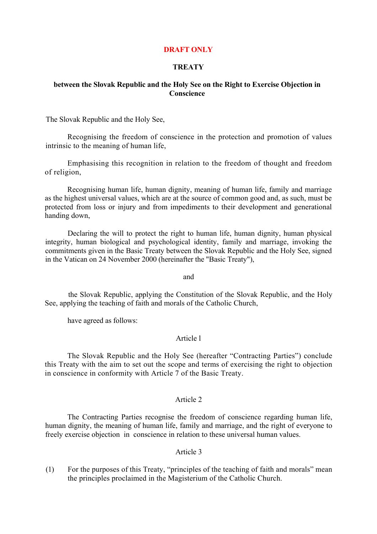# **DRAFT ONLY**

# **TREATY**

#### **between the Slovak Republic and the Holy See on the Right to Exercise Objection in Conscience**

The Slovak Republic and the Holy See,

Recognising the freedom of conscience in the protection and promotion of values intrinsic to the meaning of human life,

Emphasising this recognition in relation to the freedom of thought and freedom of religion,

Recognising human life, human dignity, meaning of human life, family and marriage as the highest universal values, which are at the source of common good and, as such, must be protected from loss or injury and from impediments to their development and generational handing down,

Declaring the will to protect the right to human life, human dignity, human physical integrity, human biological and psychological identity, family and marriage, invoking the commitments given in the Basic Treaty between the Slovak Republic and the Holy See, signed in the Vatican on 24 November 2000 (hereinafter the "Basic Treaty"),

and

the Slovak Republic, applying the Constitution of the Slovak Republic, and the Holy See, applying the teaching of faith and morals of the Catholic Church,

have agreed as follows:

# Article l

The Slovak Republic and the Holy See (hereafter "Contracting Parties") conclude this Treaty with the aim to set out the scope and terms of exercising the right to objection in conscience in conformity with Article 7 of the Basic Treaty.

#### Article 2

The Contracting Parties recognise the freedom of conscience regarding human life, human dignity, the meaning of human life, family and marriage, and the right of everyone to freely exercise objection in conscience in relation to these universal human values.

#### Article 3

(1) For the purposes of this Treaty, "principles of the teaching of faith and morals" mean the principles proclaimed in the Magisterium of the Catholic Church.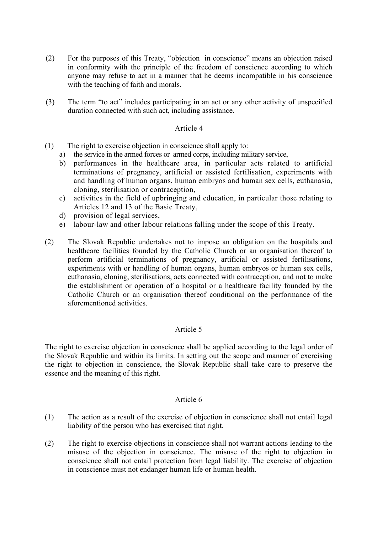- (2) For the purposes of this Treaty, "objection in conscience" means an objection raised in conformity with the principle of the freedom of conscience according to which anyone may refuse to act in a manner that he deems incompatible in his conscience with the teaching of faith and morals.
- (3) The term "to act" includes participating in an act or any other activity of unspecified duration connected with such act, including assistance.

#### Article 4

- (1) The right to exercise objection in conscience shall apply to:
	- a) the service in the armed forces or armed corps, including military service,
	- b) performances in the healthcare area, in particular acts related to artificial terminations of pregnancy, artificial or assisted fertilisation, experiments with and handling of human organs, human embryos and human sex cells, euthanasia, cloning, sterilisation or contraception,
	- c) activities in the field of upbringing and education, in particular those relating to Articles 12 and 13 of the Basic Treaty,
	- d) provision of legal services,
	- e) labour-law and other labour relations falling under the scope of this Treaty.
- (2) The Slovak Republic undertakes not to impose an obligation on the hospitals and healthcare facilities founded by the Catholic Church or an organisation thereof to perform artificial terminations of pregnancy, artificial or assisted fertilisations, experiments with or handling of human organs, human embryos or human sex cells, euthanasia, cloning, sterilisations, acts connected with contraception, and not to make the establishment or operation of a hospital or a healthcare facility founded by the Catholic Church or an organisation thereof conditional on the performance of the aforementioned activities.

# Article 5

The right to exercise objection in conscience shall be applied according to the legal order of the Slovak Republic and within its limits. In setting out the scope and manner of exercising the right to objection in conscience, the Slovak Republic shall take care to preserve the essence and the meaning of this right.

# Article 6

- (1) The action as a result of the exercise of objection in conscience shall not entail legal liability of the person who has exercised that right.
- (2) The right to exercise objections in conscience shall not warrant actions leading to the misuse of the objection in conscience. The misuse of the right to objection in conscience shall not entail protection from legal liability. The exercise of objection in conscience must not endanger human life or human health.